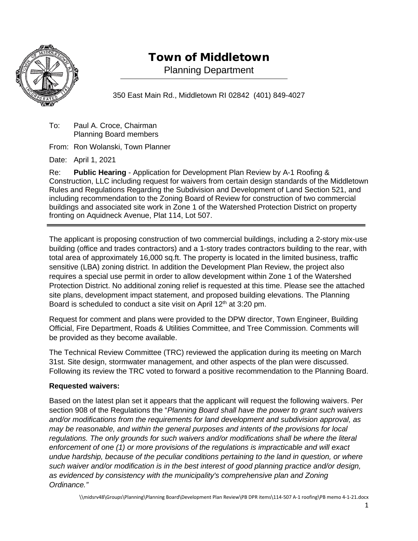

# Town of Middletown

Planning Department

350 East Main Rd., Middletown RI 02842 (401) 849-4027

To: Paul A. Croce, Chairman Planning Board members

From: Ron Wolanski, Town Planner

Date: April 1, 2021

Re: **Public Hearing** - Application for Development Plan Review by A-1 Roofing & Construction, LLC including request for waivers from certain design standards of the Middletown Rules and Regulations Regarding the Subdivision and Development of Land Section 521, and including recommendation to the Zoning Board of Review for construction of two commercial buildings and associated site work in Zone 1 of the Watershed Protection District on property fronting on Aquidneck Avenue, Plat 114, Lot 507.

The applicant is proposing construction of two commercial buildings, including a 2-story mix-use building (office and trades contractors) and a 1-story trades contractors building to the rear, with total area of approximately 16,000 sq.ft. The property is located in the limited business, traffic sensitive (LBA) zoning district. In addition the Development Plan Review, the project also requires a special use permit in order to allow development within Zone 1 of the Watershed Protection District. No additional zoning relief is requested at this time. Please see the attached site plans, development impact statement, and proposed building elevations. The Planning Board is scheduled to conduct a site visit on April 12<sup>th</sup> at 3:20 pm.

Request for comment and plans were provided to the DPW director, Town Engineer, Building Official, Fire Department, Roads & Utilities Committee, and Tree Commission. Comments will be provided as they become available.

The Technical Review Committee (TRC) reviewed the application during its meeting on March 31st. Site design, stormwater management, and other aspects of the plan were discussed. Following its review the TRC voted to forward a positive recommendation to the Planning Board.

## **Requested waivers:**

Based on the latest plan set it appears that the applicant will request the following waivers. Per section 908 of the Regulations the "*Planning Board shall have the power to grant such waivers and/or modifications from the requirements for land development and subdivision approval, as may be reasonable, and within the general purposes and intents of the provisions for local regulations. The only grounds for such waivers and/or modifications shall be where the literal enforcement of one (1) or more provisions of the regulations is impracticable and will exact undue hardship, because of the peculiar conditions pertaining to the land in question, or where such waiver and/or modification is in the best interest of good planning practice and/or design, as evidenced by consistency with the municipality's comprehensive plan and Zoning Ordinance."*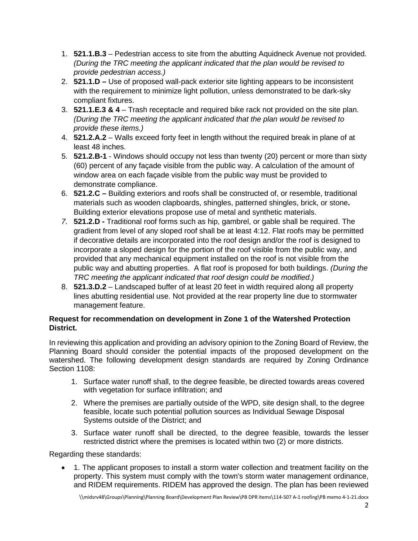- 1. **521.1.B.3**  Pedestrian access to site from the abutting Aquidneck Avenue not provided. *(During the TRC meeting the applicant indicated that the plan would be revised to provide pedestrian access.)*
- 2. **521.1.D –** Use of proposed wall-pack exterior site lighting appears to be inconsistent with the requirement to minimize light pollution, unless demonstrated to be dark-sky compliant fixtures.
- 3. **521.1.E.3 & 4** Trash receptacle and required bike rack not provided on the site plan. *(During the TRC meeting the applicant indicated that the plan would be revised to provide these items.)*
- 4. **521.2.A.2** Walls exceed forty feet in length without the required break in plane of at least 48 inches.
- 5. **521.2.B-1**  Windows should occupy not less than twenty (20) percent or more than sixty (60) percent of any façade visible from the public way. A calculation of the amount of window area on each façade visible from the public way must be provided to demonstrate compliance.
- 6. **521.2.C –** Building exteriors and roofs shall be constructed of, or resemble, traditional materials such as wooden clapboards, shingles, patterned shingles, brick, or stone**.** Building exterior elevations propose use of metal and synthetic materials.
- *7.* **521.2.D -** Traditional roof forms such as hip, gambrel, or gable shall be required. The gradient from level of any sloped roof shall be at least 4:12. Flat roofs may be permitted if decorative details are incorporated into the roof design and/or the roof is designed to incorporate a sloped design for the portion of the roof visible from the public way, and provided that any mechanical equipment installed on the roof is not visible from the public way and abutting properties. A flat roof is proposed for both buildings. *(During the TRC meeting the applicant indicated that roof design could be modified.)*
- 8. **521.3.D.2** Landscaped buffer of at least 20 feet in width required along all property lines abutting residential use. Not provided at the rear property line due to stormwater management feature.

## **Request for recommendation on development in Zone 1 of the Watershed Protection District.**

In reviewing this application and providing an advisory opinion to the Zoning Board of Review, the Planning Board should consider the potential impacts of the proposed development on the watershed. The following development design standards are required by Zoning Ordinance Section 1108:

- 1. Surface water runoff shall, to the degree feasible, be directed towards areas covered with vegetation for surface infiltration; and
- 2. Where the premises are partially outside of the WPD, site design shall, to the degree feasible, locate such potential pollution sources as Individual Sewage Disposal Systems outside of the District; and
- 3. Surface water runoff shall be directed, to the degree feasible, towards the lesser restricted district where the premises is located within two (2) or more districts.

Regarding these standards:

• 1. The applicant proposes to install a storm water collection and treatment facility on the property. This system must comply with the town's storm water management ordinance, and RIDEM requirements. RIDEM has approved the design. The plan has been reviewed